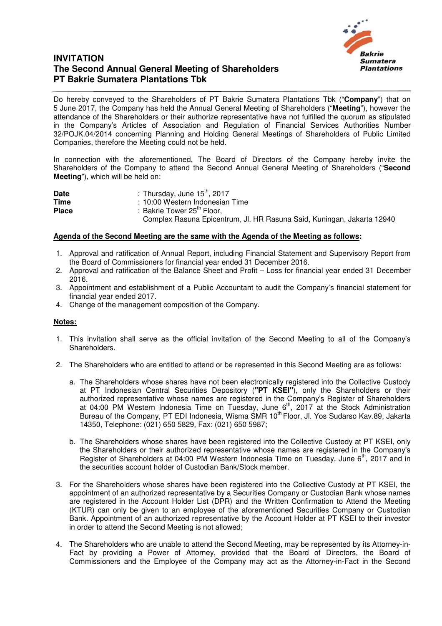

## **INVITATION The Second Annual General Meeting of Shareholders PT Bakrie Sumatera Plantations Tbk**

Do hereby conveyed to the Shareholders of PT Bakrie Sumatera Plantations Tbk ("**Company**") that on 5 June 2017, the Company has held the Annual General Meeting of Shareholders ("**Meeting**"), however the attendance of the Shareholders or their authorize representative have not fulfilled the quorum as stipulated in the Company's Articles of Association and Regulation of Financial Services Authorities Number 32/POJK.04/2014 concerning Planning and Holding General Meetings of Shareholders of Public Limited Companies, therefore the Meeting could not be held.

In connection with the aforementioned, The Board of Directors of the Company hereby invite the Shareholders of the Company to attend the Second Annual General Meeting of Shareholders ("**Second Meeting**"), which will be held on:

| <b>Date</b>  | : Thursday, June $15^{\text{th}}$ , 2017                               |
|--------------|------------------------------------------------------------------------|
| Time         | : 10:00 Western Indonesian Time                                        |
| <b>Place</b> | : Bakrie Tower 25 <sup>th</sup> Floor.                                 |
|              | Complex Rasuna Epicentrum, Jl. HR Rasuna Said, Kuningan, Jakarta 12940 |

## **Agenda of the Second Meeting are the same with the Agenda of the Meeting as follows:**

- 1. Approval and ratification of Annual Report, including Financial Statement and Supervisory Report from the Board of Commissioners for financial year ended 31 December 2016.
- 2. Approval and ratification of the Balance Sheet and Profit Loss for financial year ended 31 December 2016.
- 3. Appointment and establishment of a Public Accountant to audit the Company's financial statement for financial year ended 2017.
- 4. Change of the management composition of the Company.

## **Notes:**

- 1. This invitation shall serve as the official invitation of the Second Meeting to all of the Company's Shareholders.
- 2. The Shareholders who are entitled to attend or be represented in this Second Meeting are as follows:
	- a. The Shareholders whose shares have not been electronically registered into the Collective Custody at PT Indonesian Central Securities Depository (**"PT KSEI"**), only the Shareholders or their authorized representative whose names are registered in the Company's Register of Shareholders at 04:00 PM Western Indonesia Time on Tuesday, June  $6<sup>th</sup>$ , 2017 at the Stock Administration Bureau of the Company, PT EDI Indonesia, Wisma SMR 10<sup>th</sup> Floor, Jl. Yos Sudarso Kav.89, Jakarta 14350, Telephone: (021) 650 5829, Fax: (021) 650 5987;
	- b. The Shareholders whose shares have been registered into the Collective Custody at PT KSEI, only the Shareholders or their authorized representative whose names are registered in the Company's Register of Shareholders at 04:00 PM Western Indonesia Time on Tuesday, June 6<sup>th</sup>, 2017 and in the securities account holder of Custodian Bank/Stock member.
- 3. For the Shareholders whose shares have been registered into the Collective Custody at PT KSEI, the appointment of an authorized representative by a Securities Company or Custodian Bank whose names are registered in the Account Holder List (DPR) and the Written Confirmation to Attend the Meeting (KTUR) can only be given to an employee of the aforementioned Securities Company or Custodian Bank. Appointment of an authorized representative by the Account Holder at PT KSEI to their investor in order to attend the Second Meeting is not allowed;
- 4. The Shareholders who are unable to attend the Second Meeting, may be represented by its Attorney-in-Fact by providing a Power of Attorney, provided that the Board of Directors, the Board of Commissioners and the Employee of the Company may act as the Attorney-in-Fact in the Second